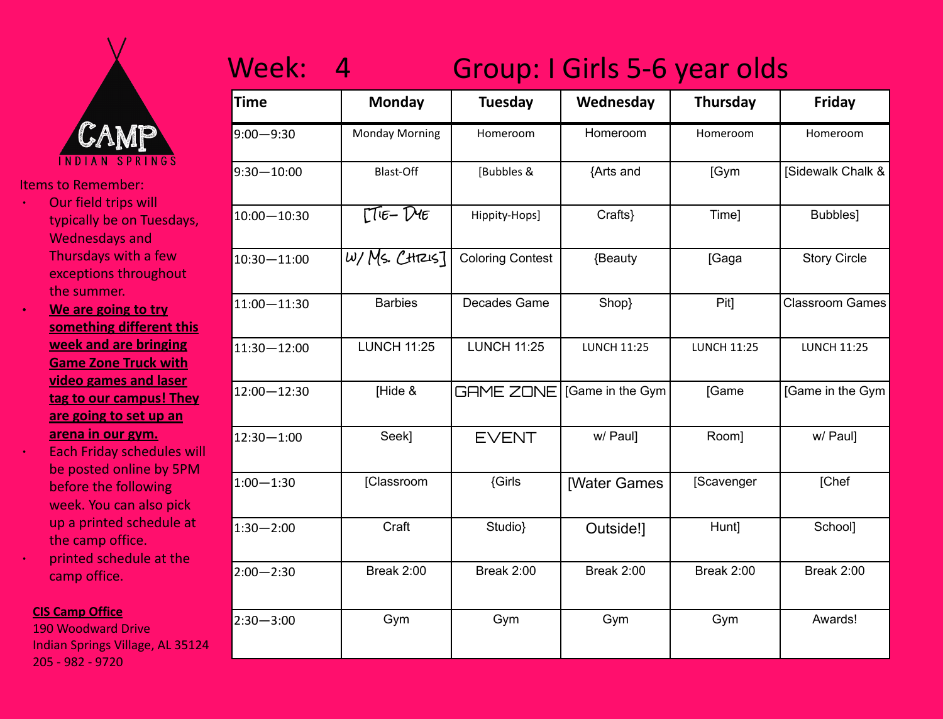

- ∙ Our field trips will typically be on Tuesdays, Wednesdays and Thursdays with a few exceptions throughout the summer.
- ∙ **We are going to try something different this week and are bringing Game Zone Truck with video games and laser tag to our campus! They are going to set up an arena in our gym.**
- ∙ Each Friday schedules will be posted online by 5PM before the following week. You can also pick up a printed schedule at the camp office.
- ∙ printed schedule at the camp office.

### **CIS Camp Office**

190 Woodward Drive Indian Springs Village, AL 35124 205 - 982 - 9720

## Week: 4 Group: I Girls 5-6 year olds

| Time            | <b>Monday</b>                                         | <b>Tuesday</b>          | Wednesday          | Thursday           | Friday                 |
|-----------------|-------------------------------------------------------|-------------------------|--------------------|--------------------|------------------------|
| $9:00 - 9:30$   | <b>Monday Morning</b>                                 | Homeroom                | Homeroom           | Homeroom           | Homeroom               |
| $9:30 - 10:00$  | <b>Blast-Off</b>                                      | [Bubbles &              | {Arts and          | [Gym               | [Sidewalk Chalk &      |
| $10:00 - 10:30$ | $\Gamma$ <sup><math>E</math></sup> $E - \overline{D}$ | Hippity-Hops]           | Crafts}            | Time]              | Bubbles]               |
| 10:30-11:00     | $w$ /Ms. CHRIS]                                       | <b>Coloring Contest</b> | {Beauty            | [Gaga              | <b>Story Circle</b>    |
| $11:00 - 11:30$ | <b>Barbies</b>                                        | Decades Game            | Shop}              | Pit]               | <b>Classroom Games</b> |
| $11:30 - 12:00$ | <b>LUNCH 11:25</b>                                    | <b>LUNCH 11:25</b>      | <b>LUNCH 11:25</b> | <b>LUNCH 11:25</b> | <b>LUNCH 11:25</b>     |
| 12:00-12:30     | [Hide &                                               | GAME ZONE               | [Game in the Gym   | [Game              | [Game in the Gym       |
| $12:30 - 1:00$  | Seek]                                                 | <b>EVENT</b>            | w/ Paul]           | Room]              | w/ Paul]               |
| $1:00 - 1:30$   | [Classroom                                            | {Girls                  | [Water Games       | [Scavenger         | [Chef                  |
| $1:30 - 2:00$   | Craft                                                 | Studio}                 | Outside!]          | Hunt]              | School]                |
| $2:00 - 2:30$   | Break 2:00                                            | Break 2:00              | Break 2:00         | Break 2:00         | Break 2:00             |
| $2:30 - 3:00$   | Gym                                                   | Gym                     | Gym                | Gym                | Awards!                |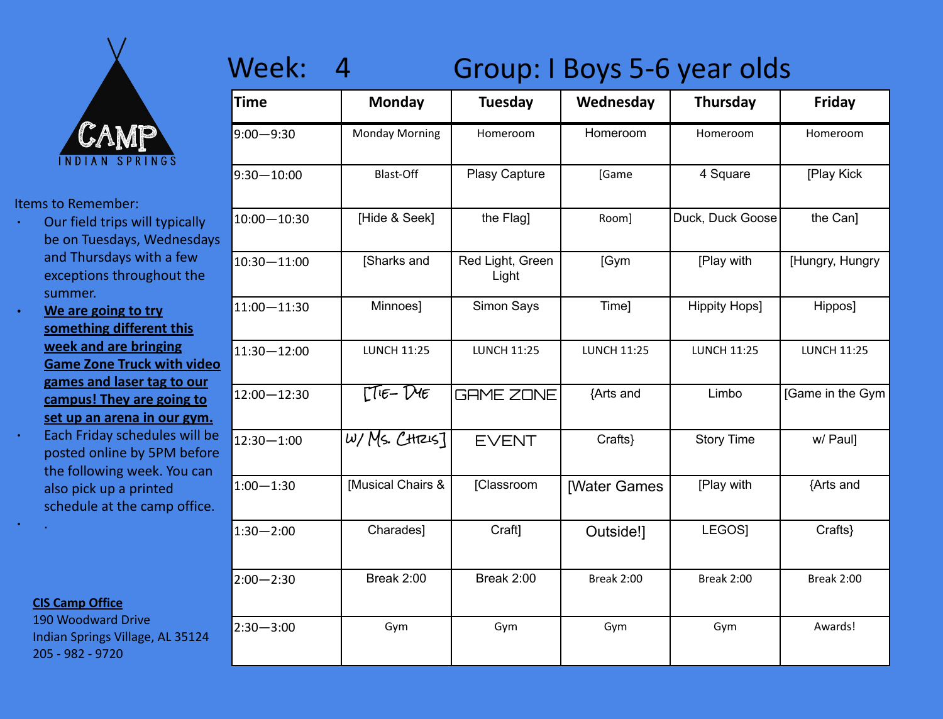

- ∙ Our field trips will typically be on Tuesdays, Wednesdays and Thursdays with a few exceptions throughout the summer.
- ∙ **We are going to try something different this week and are bringing Game Zone Truck with video games and laser tag to our campus! They are going to set up an arena in our gym.** ∙ Each Friday schedules will be posted online by 5PM before the following week. You can also pick up a printed schedule at the camp office.

### **CIS Camp Office**

∙ .

190 Woodward Drive Indian Springs Village, AL 35124 205 - 982 - 9720

## Week: 4 Group: I Boys 5-6 year olds

| <b>Time</b>     | <b>Monday</b>         | <b>Tuesday</b>            | Wednesday           | <b>Thursday</b>      | Friday             |
|-----------------|-----------------------|---------------------------|---------------------|----------------------|--------------------|
| $9:00 - 9:30$   | <b>Monday Morning</b> | Homeroom                  | Homeroom            | Homeroom             | Homeroom           |
| $9:30 - 10:00$  | <b>Blast-Off</b>      | Plasy Capture             | [Game               | 4 Square             | [Play Kick         |
| $10:00 - 10:30$ | [Hide & Seek]         | the Flag]                 | Room]               | Duck, Duck Goose     | the Can]           |
| 10:30-11:00     | [Sharks and           | Red Light, Green<br>Light | [Gym                | [Play with           | [Hungry, Hungry    |
| 11:00-11:30     | Minnoes]              | Simon Says                | Time]               | <b>Hippity Hops]</b> | Hippos]            |
| 11:30-12:00     | <b>LUNCH 11:25</b>    | <b>LUNCH 11:25</b>        | <b>LUNCH 11:25</b>  | <b>LUNCH 11:25</b>   | <b>LUNCH 11:25</b> |
| 12:00-12:30     | $\Gamma$ TIE-DIE      | <b>GAME ZONE</b>          | {Arts and           | Limbo                | [Game in the Gym   |
| $12:30 - 1:00$  | $w$ /Ms. CHR45]       | <b>EVENT</b>              | Crafts}             | <b>Story Time</b>    | w/ Paul]           |
| $1:00 - 1:30$   | [Musical Chairs &     | [Classroom                | <b>[Water Games</b> | [Play with           | {Arts and          |
| $1:30 - 2:00$   | Charades]             | Craft]                    | Outside!]           | LEGOS]               | Crafts}            |
| $2:00 - 2:30$   | Break 2:00            | Break 2:00                | <b>Break 2:00</b>   | <b>Break 2:00</b>    | Break 2:00         |
| $2:30 - 3:00$   | Gym                   | Gym                       | Gym                 | Gym                  | Awards!            |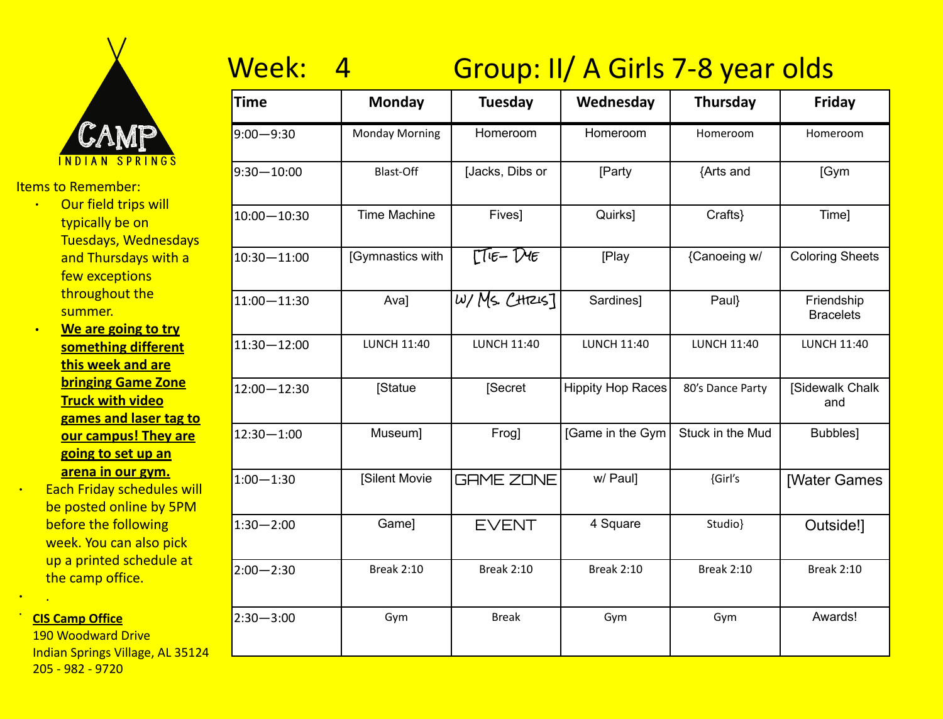

- Items to Remember:
	- ∙ Our field trips will typically be on Tuesdays, Wednesdays and Thursdays with a few exceptions throughout the summer.
	- ∙ **We are going to try something different this week and are bringing Game Zone Truck with video games and laser tag to our campus! They are going to set up an arena in our gym.**
- ∙ Each Friday schedules will be posted online by 5PM before the following week. You can also pick up a printed schedule at the camp office.

#### · **CIS Camp Office**

∙ .

190 Woodward Drive Indian Springs Village, AL 35124 205 - 982 - 9720

# Week: 4 Group: II/ A Girls 7-8 year olds

| <b>Time</b>     | <b>Monday</b>         | <b>Tuesday</b>     | Wednesday                | <b>Thursday</b>    | Friday                         |
|-----------------|-----------------------|--------------------|--------------------------|--------------------|--------------------------------|
| $9:00 - 9:30$   | <b>Monday Morning</b> | Homeroom           | Homeroom                 | Homeroom           | Homeroom                       |
| $9:30 - 10:00$  | <b>Blast-Off</b>      | Jacks, Dibs or     | [Party                   | {Arts and          | [Gym                           |
| $10:00 - 10:30$ | <b>Time Machine</b>   | Fives]             | Quirks]                  | Crafts}            | Time]                          |
| $10:30 - 11:00$ | [Gymnastics with      | $\Gamma$ TIE-DIE   | [Play                    | {Canoeing w/       | <b>Coloring Sheets</b>         |
| $11:00 - 11:30$ | Ava]                  | wyMS. CH7245]      | Sardines]                | Paul}              | Friendship<br><b>Bracelets</b> |
| $11:30 - 12:00$ | <b>LUNCH 11:40</b>    | <b>LUNCH 11:40</b> | <b>LUNCH 11:40</b>       | <b>LUNCH 11:40</b> | <b>LUNCH 11:40</b>             |
| $12:00 - 12:30$ | <b>Statue</b>         | [Secret            | <b>Hippity Hop Races</b> | 80's Dance Party   | [Sidewalk Chalk<br>and         |
| $12:30 - 1:00$  | Museum]               | Frog]              | [Game in the Gym         | Stuck in the Mud   | Bubbles]                       |
| $1:00 - 1:30$   | [Silent Movie         | <b>GAME ZONE</b>   | w/ Paul]                 | {Girl's            | <b>[Water Games</b>            |
| $1:30 - 2:00$   | Game]                 | <b>EVENT</b>       | 4 Square                 | Studio}            | Outside!]                      |
| $2:00 - 2:30$   | <b>Break 2:10</b>     | <b>Break 2:10</b>  | <b>Break 2:10</b>        | <b>Break 2:10</b>  | <b>Break 2:10</b>              |
| $2:30 - 3:00$   | Gym                   | <b>Break</b>       | Gym                      | Gym                | Awards!                        |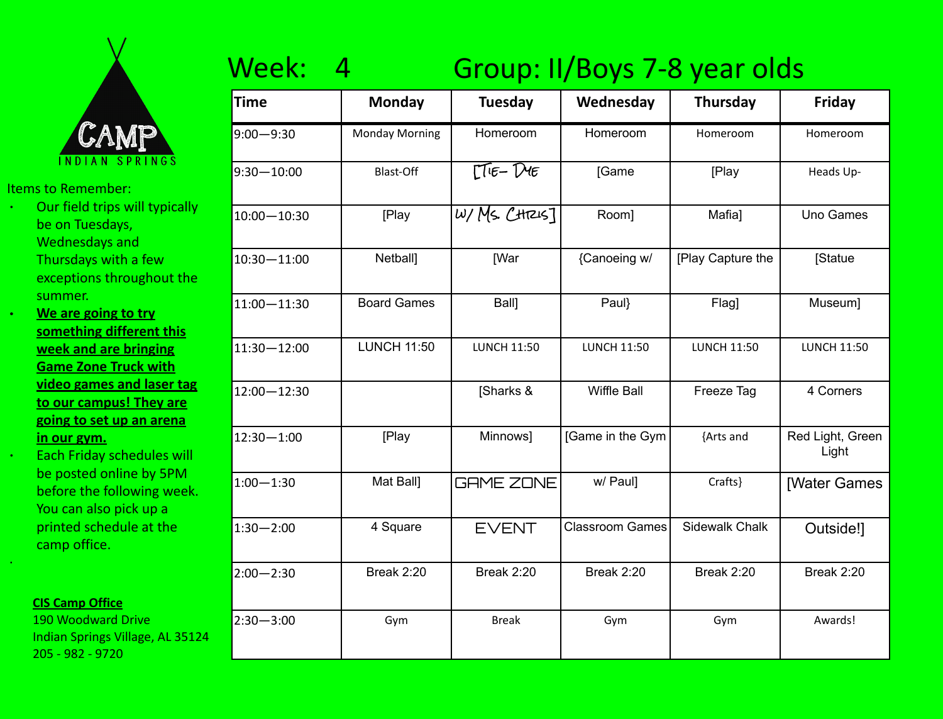

- ∙ Our field trips will typically be on Tuesdays, Wednesdays and Thursdays with a few exceptions throughout the summer.
- ∙ **We are going to try something different this week and are bringing Game Zone Truck with video games and laser tag to our campus! They are going to set up an arena in our gym.**

∙ Each Friday schedules will be posted online by 5PM before the following week. You can also pick up a printed schedule at the camp office.

#### **CIS Camp Office**

·

190 Woodward Drive Indian Springs Village, AL 35124 205 - 982 - 9720

# Week: 4 Group: II/Boys 7-8 year olds

| <b>Time</b>    | <b>Monday</b>         | <b>Tuesday</b>     | Wednesday              | <b>Thursday</b>    | Friday                    |
|----------------|-----------------------|--------------------|------------------------|--------------------|---------------------------|
| $9:00 - 9:30$  | <b>Monday Morning</b> | Homeroom           | Homeroom               | Homeroom           | Homeroom                  |
| $9:30 - 10:00$ | Blast-Off             | $\Gamma$ TIE-DIE   | <b>[Game</b>           | [Play              | Heads Up-                 |
| 10:00-10:30    | [Play                 | $W/Ms.$ $CH7215$ ] | Room]                  | Mafia]             | Uno Games                 |
| 10:30-11:00    | Netball]              | <b>[War</b>        | {Canoeing w/           | [Play Capture the  | [Statue                   |
| 11:00-11:30    | <b>Board Games</b>    | <b>Ball</b>        | Paul}                  | Flag]              | Museum]                   |
| 11:30-12:00    | <b>LUNCH 11:50</b>    | <b>LUNCH 11:50</b> | <b>LUNCH 11:50</b>     | <b>LUNCH 11:50</b> | <b>LUNCH 11:50</b>        |
| 12:00 - 12:30  |                       | [Sharks &          | Wiffle Ball            | Freeze Tag         | 4 Corners                 |
| 12:30-1:00     | [Play                 | Minnows]           | [Game in the Gym       | {Arts and          | Red Light, Green<br>Light |
| $1:00 - 1:30$  | Mat Ball]             | <b>GAME ZONE</b>   | w/ Paul]               | Crafts}            | <b>[Water Games</b>       |
| $1:30 - 2:00$  | 4 Square              | <b>EVENT</b>       | <b>Classroom Games</b> | Sidewalk Chalk     | Outside!]                 |
| $2:00 - 2:30$  | Break 2:20            | <b>Break 2:20</b>  | <b>Break 2:20</b>      | <b>Break 2:20</b>  | Break 2:20                |
| $2:30 - 3:00$  | Gym                   | <b>Break</b>       | Gym                    | Gym                | Awards!                   |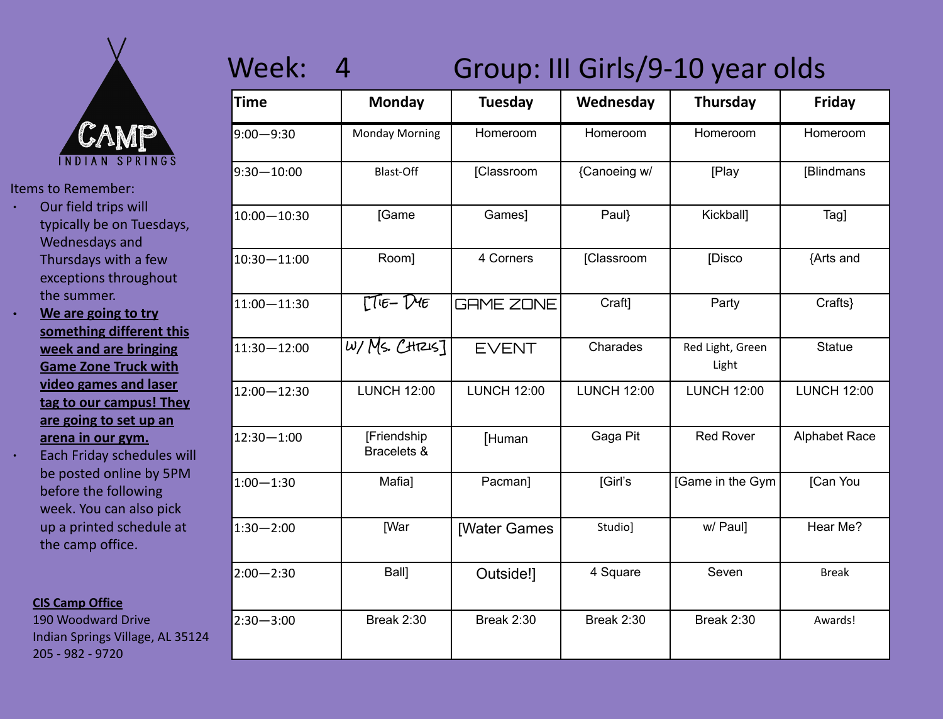

- ∙ Our field trips will typically be on Tuesdays, Wednesdays and Thursdays with a few exceptions throughout the summer.
- ∙ **We are going to try something different this week and are bringing Game Zone Truck with video games and laser tag to our campus! They are going to set up an arena in our gym.**
- ∙ Each Friday schedules will be posted online by 5PM before the following week. You can also pick up a printed schedule at the camp office.

#### **CIS Camp Office**

190 Woodward Drive Indian Springs Village, AL 35124 205 - 982 - 9720

## Week: 4 Group: III Girls/9-10 year olds

| <b>Time</b>     | <b>Monday</b>              | Tuesday             | Wednesday          | <b>Thursday</b>           | Friday               |
|-----------------|----------------------------|---------------------|--------------------|---------------------------|----------------------|
| $9:00 - 9:30$   | <b>Monday Morning</b>      | Homeroom            | Homeroom           | Homeroom                  | Homeroom             |
| $9:30 - 10:00$  | Blast-Off                  | [Classroom          | {Canoeing w/       | [Play                     | [Blindmans           |
| $10:00 - 10:30$ | [Game                      | Games]              | Paul}              | <b>Kickball</b>           | Tag]                 |
| $10:30 - 11:00$ | Room]                      | 4 Corners           | [Classroom         | [Disco                    | {Arts and            |
| 11:00 - 11:30   | $TIF-DF$                   | <b>GAME ZONE</b>    | Craft]             | Party                     | Crafts}              |
| $11:30 - 12:00$ | $W/Ms.$ $CH7215$ ]         | <b>EVENT</b>        | Charades           | Red Light, Green<br>Light | <b>Statue</b>        |
| 12:00-12:30     | <b>LUNCH 12:00</b>         | <b>LUNCH 12:00</b>  | <b>LUNCH 12:00</b> | <b>LUNCH 12:00</b>        | <b>LUNCH 12:00</b>   |
| $12:30 - 1:00$  | [Friendship<br>Bracelets & | [Human              | Gaga Pit           | <b>Red Rover</b>          | <b>Alphabet Race</b> |
| $1:00 - 1:30$   | Mafia]                     | Pacman]             | [Girl's            | [Game in the Gym          | [Can You             |
| $1:30 - 2:00$   | <b>[War</b>                | <b>[Water Games</b> | Studio]            | w/ Paul]                  | Hear Me?             |
| $2:00 - 2:30$   | Ball]                      | Outside!]           | 4 Square           | Seven                     | <b>Break</b>         |
| $2:30 - 3:00$   | <b>Break 2:30</b>          | <b>Break 2:30</b>   | Break 2:30         | <b>Break 2:30</b>         | Awards!              |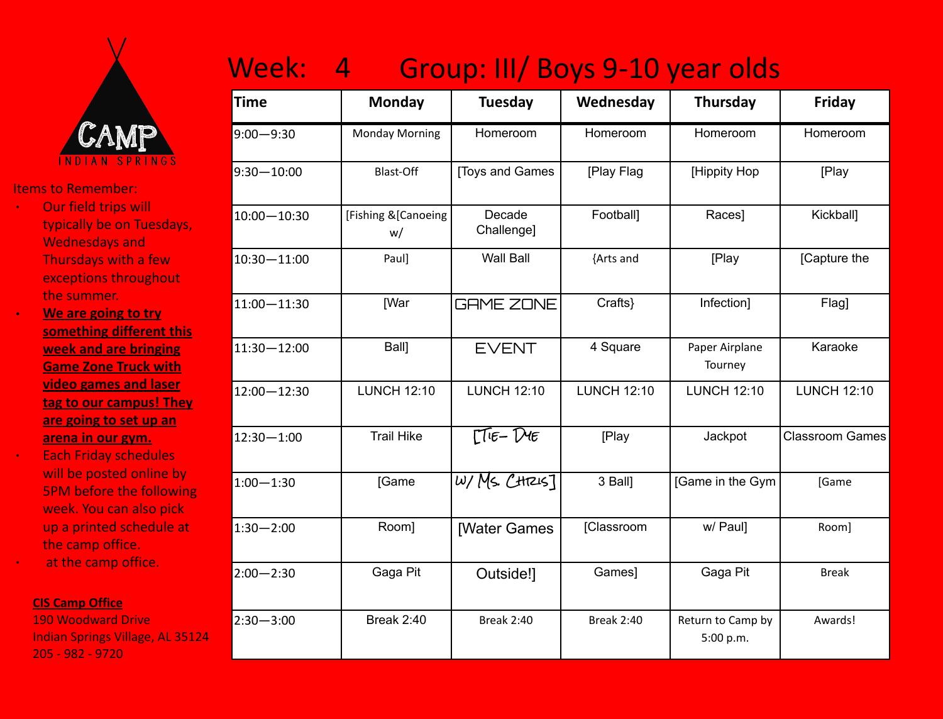

- ∙ Our field trips will typically be on Tuesdays, Wednesdays and Thursdays with a few exceptions throughout the summer.
- ∙ **We are going to try something different this week and are bringing Game Zone Truck with video games and laser tag to our campus! They are going to set up an arena in our gym.**
- ∙ Each Friday schedules will be posted online by 5PM before the following week. You can also pick up a printed schedule at the camp office. ∙ at the camp office.

#### **CIS Camp Office**

190 Woodward Drive Indian Springs Village, AL 35124 205 - 982 - 9720

| Group: III/ Boys 9-10 year olds<br>Week: 4 |  |
|--------------------------------------------|--|
|--------------------------------------------|--|

| Time            | <b>Monday</b>              | <b>Tuesday</b>                                                                                        | Wednesday          | Thursday                       | Friday                 |
|-----------------|----------------------------|-------------------------------------------------------------------------------------------------------|--------------------|--------------------------------|------------------------|
| $9:00 - 9:30$   | <b>Monday Morning</b>      | Homeroom                                                                                              | Homeroom           | Homeroom                       | Homeroom               |
| $9:30 - 10:00$  | <b>Blast-Off</b>           | <b>Toys and Games</b>                                                                                 | [Play Flag         | [Hippity Hop                   | [Play                  |
| $10:00 - 10:30$ | [Fishing & [Canoeing<br>w/ | Decade<br>Challenge]                                                                                  | Football]          | Races]                         | Kickball]              |
| $10:30 - 11:00$ | Paul]                      | <b>Wall Ball</b>                                                                                      | {Arts and          | [Play                          | [Capture the           |
| $11:00 - 11:30$ | [War                       | <b>GAME ZONE</b>                                                                                      | Crafts}            | Infection]                     | Flag]                  |
| 11:30-12:00     | Ball]                      | <b>EVENT</b>                                                                                          | 4 Square           | Paper Airplane<br>Tourney      | Karaoke                |
| 12:00-12:30     | <b>LUNCH 12:10</b>         | <b>LUNCH 12:10</b>                                                                                    | <b>LUNCH 12:10</b> | <b>LUNCH 12:10</b>             | <b>LUNCH 12:10</b>     |
| $12:30 - 1:00$  | <b>Trail Hike</b>          | $\Gamma$ <sup><math>\Gamma</math><math>\epsilon</math>-<math>\Gamma</math><math>\epsilon</math></sup> | [Play              | Jackpot                        | <b>Classroom Games</b> |
| $1:00 - 1:30$   | [Game                      | wyMS. CH72457                                                                                         | 3 Ball]            | [Game in the Gym               | [Game                  |
| $1:30 - 2:00$   | Room]                      | <b>[Water Games</b>                                                                                   | [Classroom         | w/ Paul]                       | Room]                  |
| $2:00 - 2:30$   | Gaga Pit                   | Outside!]                                                                                             | Games]             | Gaga Pit                       | <b>Break</b>           |
| $2:30 - 3:00$   | <b>Break 2:40</b>          | <b>Break 2:40</b>                                                                                     | <b>Break 2:40</b>  | Return to Camp by<br>5:00 p.m. | Awards!                |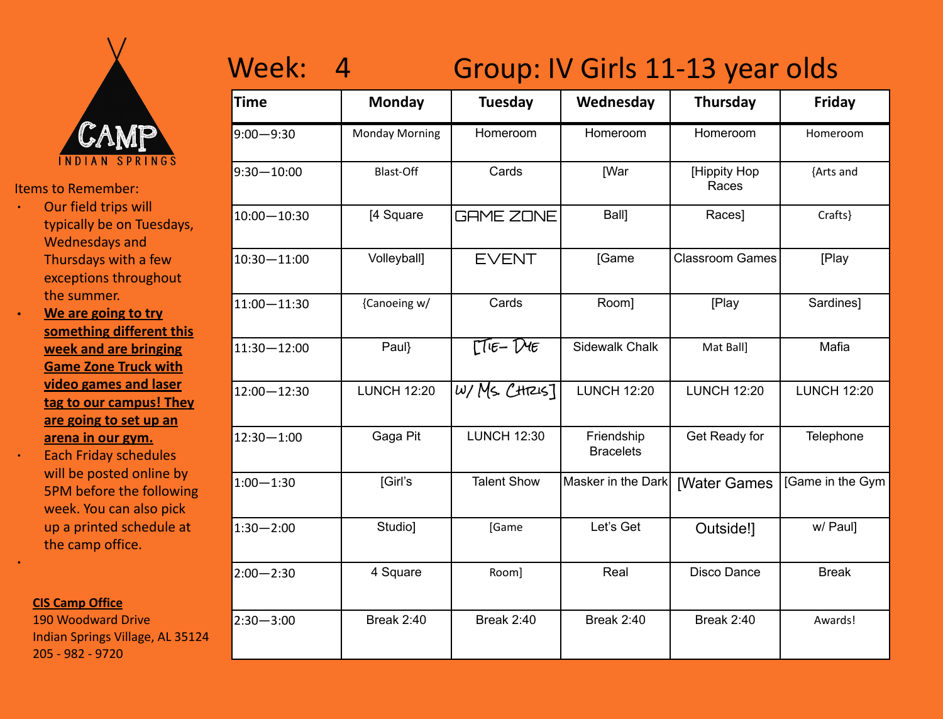

- ∙ Our field trips will typically be on Tuesdays, Wednesdays and Thursdays with a few exceptions throughout the summer.
- ∙ **We are going to try something different this week and are bringing Game Zone Truck with video games and laser tag to our campus! They are going to set up an arena in our gym.**
- ∙ Each Friday schedules will be posted online by 5PM before the following week. You can also pick up a printed schedule at the camp office.

#### **CIS Camp Office**

∙

190 Woodward Drive Indian Springs Village, AL 35124 205 - 982 - 9720

## Week: 4 Group: IV Girls 11-13 year olds

| <b>Time</b>     | <b>Monday</b>         | Tuesday            | Wednesday                      | <b>Thursday</b>        | Friday             |
|-----------------|-----------------------|--------------------|--------------------------------|------------------------|--------------------|
| $9:00 - 9:30$   | <b>Monday Morning</b> | Homeroom           | Homeroom                       | Homeroom               | Homeroom           |
| $9:30 - 10:00$  | <b>Blast-Off</b>      | Cards              | [War                           | [Hippity Hop<br>Races  | {Arts and          |
| $10:00 - 10:30$ | [4 Square             | <b>GAME ZONE</b>   | Ball]                          | Races]                 | Crafts}            |
| $10:30 - 11:00$ | Volleyball]           | <b>EVENT</b>       | [Game                          | <b>Classroom Games</b> | [Play              |
| $11:00 - 11:30$ | {Canoeing w/          | Cards              | Room]                          | [Play                  | Sardines]          |
| $11:30 - 12:00$ | Paul}                 | $TIE-DIE$          | Sidewalk Chalk                 | Mat Ball]              | Mafia              |
| 12:00-12:30     | <b>LUNCH 12:20</b>    | $W/Ms$ . CHTZIS]   | <b>LUNCH 12:20</b>             | <b>LUNCH 12:20</b>     | <b>LUNCH 12:20</b> |
| $12:30 - 1:00$  | Gaga Pit              | <b>LUNCH 12:30</b> | Friendship<br><b>Bracelets</b> | Get Ready for          | Telephone          |
| $1:00 - 1:30$   | [Girl's               | <b>Talent Show</b> | Masker in the Dark             | <b>[Water Games</b>    | [Game in the Gym   |
| $1:30 - 2:00$   | Studio]               | [Game              | Let's Get                      | Outside!]              | w/ Paul]           |
| $2:00 - 2:30$   | 4 Square              | Room]              | Real                           | Disco Dance            | <b>Break</b>       |
| $2:30 - 3:00$   | <b>Break 2:40</b>     | <b>Break 2:40</b>  | <b>Break 2:40</b>              | <b>Break 2:40</b>      | Awards!            |